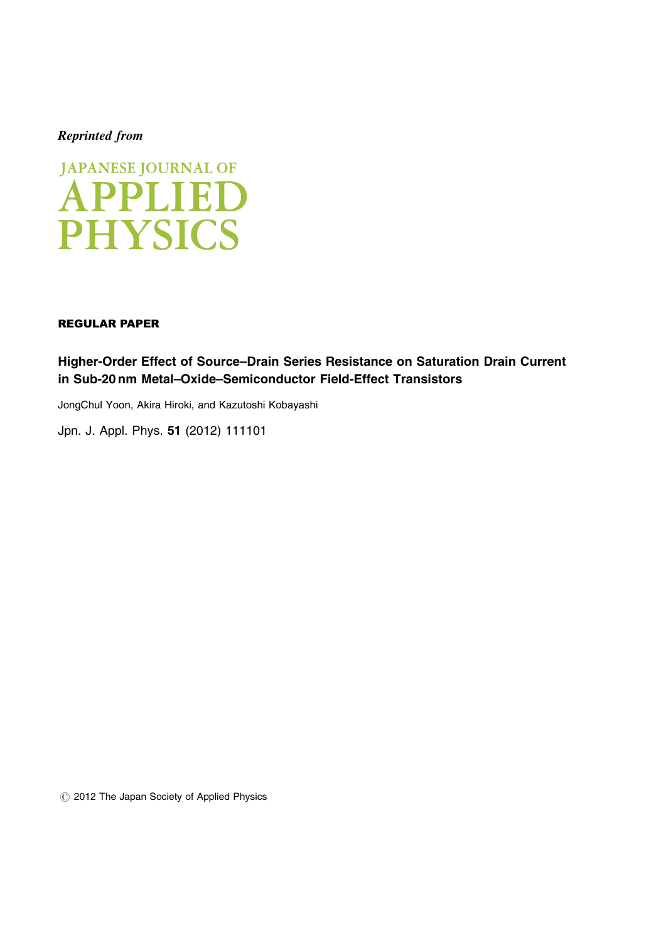# Reprinted from



# REGULAR PAPER

Higher-Order Effect of Source–Drain Series Resistance on Saturation Drain Current in Sub-20 nm Metal–Oxide–Semiconductor Field-Effect Transistors

JongChul Yoon, Akira Hiroki, and Kazutoshi Kobayashi

[Jpn. J. Appl. Phys.](http://dx.doi.org/10.1143/JJAP.51.111101) 51 (2012) 111101

 $\circled{c}$  2012 The Japan Society of Applied Physics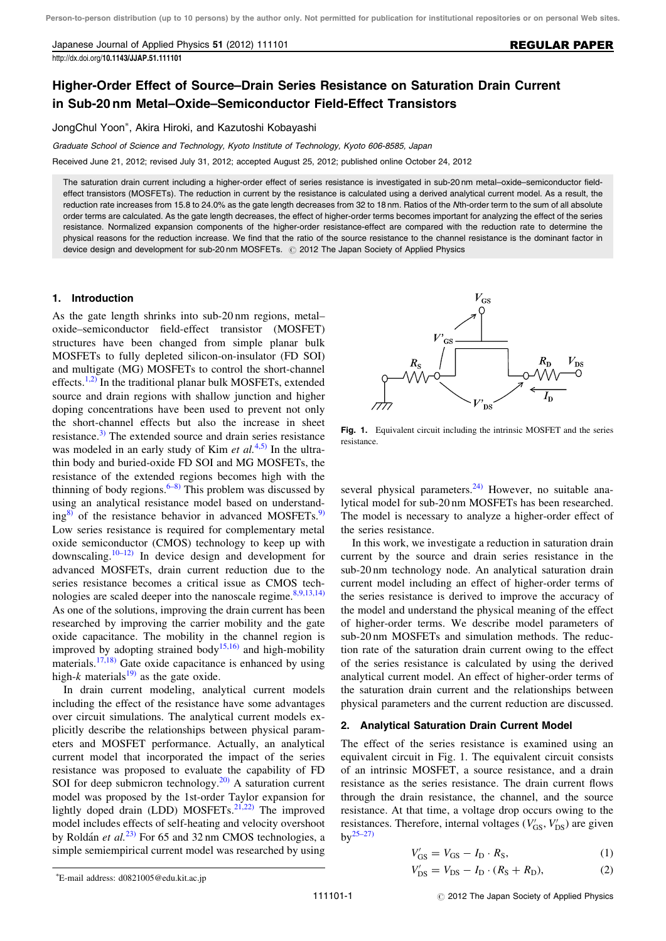Japanese Journal of Applied Physics 51 (2012) 111101

http://dx.doi.org/[10.1143/JJAP.51.111101](http://dx.doi.org/10.1143/JJAP.51.111101)

# Higher-Order Effect of Source–Drain Series Resistance on Saturation Drain Current in Sub-20 nm Metal–Oxide–Semiconductor Field-Effect Transistors

JongChul Yoon , Akira Hiroki, and Kazutoshi Kobayashi

Graduate School of Science and Technology, Kyoto Institute of Technology, Kyoto 606-8585, Japan

Received June 21, 2012; revised July 31, 2012; accepted August 25, 2012; published online October 24, 2012

The saturation drain current including a higher-order effect of series resistance is investigated in sub-20 nm metal–oxide–semiconductor fieldeffect transistors (MOSFETs). The reduction in current by the resistance is calculated using a derived analytical current model. As a result, the reduction rate increases from 15.8 to 24.0% as the gate length decreases from 32 to 18 nm. Ratios of the Nth-order term to the sum of all absolute order terms are calculated. As the gate length decreases, the effect of higher-order terms becomes important for analyzing the effect of the series resistance. Normalized expansion components of the higher-order resistance-effect are compared with the reduction rate to determine the physical reasons for the reduction increase. We find that the ratio of the source resistance to the channel resistance is the dominant factor in device design and development for sub-20 nm MOSFETs. @ 2012 The Japan Society of Applied Physics

#### 1. Introduction

As the gate length shrinks into sub-20 nm regions, metal– oxide–semiconductor field-effect transistor (MOSFET) structures have been changed from simple planar bulk MOSFETs to fully depleted silicon-on-insulator (FD SOI) and multigate (MG) MOSFETs to control the short-channel effects.<sup>[1,2\)](#page-5-0)</sup> In the traditional planar bulk MOSFETs, extended source and drain regions with shallow junction and higher doping concentrations have been used to prevent not only the short-channel effects but also the increase in sheet resistance.[3\)](#page-5-0) The extended source and drain series resistance was modeled in an early study of Kim et  $al^{(4,5)}$  $al^{(4,5)}$  $al^{(4,5)}$ . In the ultrathin body and buried-oxide FD SOI and MG MOSFETs, the resistance of the extended regions becomes high with the thinning of body regions. $6-8$ ) This problem was discussed by using an analytical resistance model based on understanding $\frac{8}{9}$  of the resistance behavior in advanced MOSFETs.<sup>[9\)](#page-5-0)</sup> Low series resistance is required for complementary metal oxide semiconductor (CMOS) technology to keep up with downscaling.<sup>[10–12\)](#page-5-0)</sup> In device design and development for advanced MOSFETs, drain current reduction due to the series resistance becomes a critical issue as CMOS technologies are scaled deeper into the nanoscale regime. $8,9,13,14$ ) As one of the solutions, improving the drain current has been researched by improving the carrier mobility and the gate oxide capacitance. The mobility in the channel region is improved by adopting strained body<sup>[15,16\)](#page-5-0)</sup> and high-mobility materials.[17,18\)](#page-5-0) Gate oxide capacitance is enhanced by using high-k materials<sup>[19\)](#page-5-0)</sup> as the gate oxide.

In drain current modeling, analytical current models including the effect of the resistance have some advantages over circuit simulations. The analytical current models explicitly describe the relationships between physical parameters and MOSFET performance. Actually, an analytical current model that incorporated the impact of the series resistance was proposed to evaluate the capability of FD SOI for deep submicron technology.<sup>[20\)](#page-5-0)</sup> A saturation current model was proposed by the 1st-order Taylor expansion for lightly doped drain (LDD) MOSFETs. $^{21,22)}$  $^{21,22)}$  $^{21,22)}$  The improved model includes effects of self-heating and velocity overshoot by Roldán et al.<sup>[23\)](#page-5-0)</sup> For 65 and 32 nm CMOS technologies, a simple semiempirical current model was researched by using



Fig. 1. Equivalent circuit including the intrinsic MOSFET and the series resistance.

several physical parameters. $^{24)}$  $^{24)}$  $^{24)}$  However, no suitable analytical model for sub-20 nm MOSFETs has been researched. The model is necessary to analyze a higher-order effect of the series resistance.

In this work, we investigate a reduction in saturation drain current by the source and drain series resistance in the sub-20 nm technology node. An analytical saturation drain current model including an effect of higher-order terms of the series resistance is derived to improve the accuracy of the model and understand the physical meaning of the effect of higher-order terms. We describe model parameters of sub-20 nm MOSFETs and simulation methods. The reduction rate of the saturation drain current owing to the effect of the series resistance is calculated by using the derived analytical current model. An effect of higher-order terms of the saturation drain current and the relationships between physical parameters and the current reduction are discussed.

### 2. Analytical Saturation Drain Current Model

The effect of the series resistance is examined using an equivalent circuit in Fig. 1. The equivalent circuit consists of an intrinsic MOSFET, a source resistance, and a drain resistance as the series resistance. The drain current flows through the drain resistance, the channel, and the source resistance. At that time, a voltage drop occurs owing to the resistances. Therefore, internal voltages  $(V'_{GS}, V'_{DS})$  are given  $bv^{25-27}$ 

$$
V'_{\rm GS} = V_{\rm GS} - I_{\rm D} \cdot R_{\rm S},\tag{1}
$$

$$
V'_{\rm DS} = V_{\rm DS} - I_{\rm D} \cdot (R_{\rm S} + R_{\rm D}),\tag{2}
$$

E-mail address: d0821005@edu.kit.ac.jp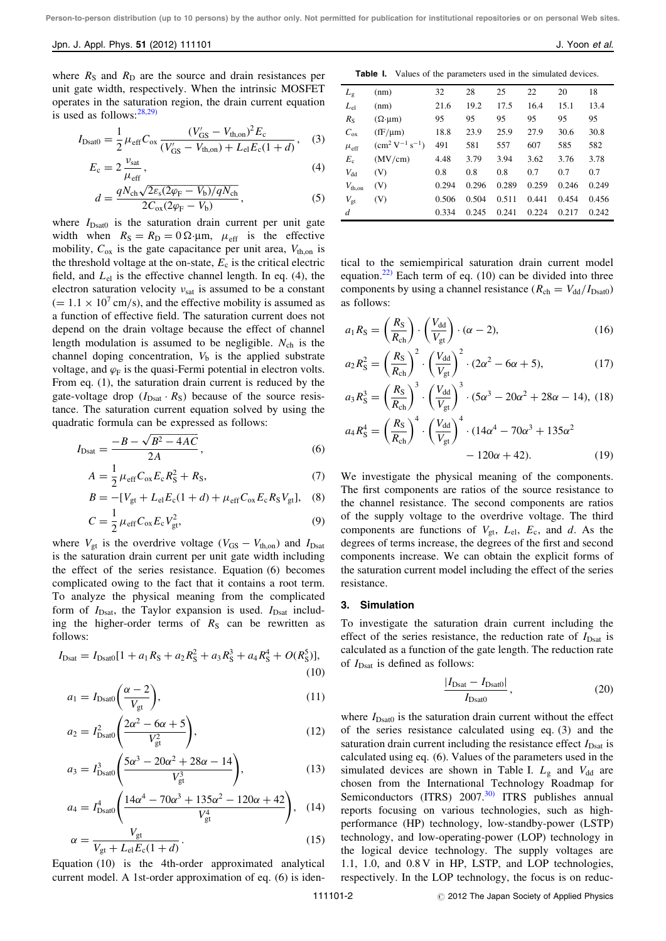#### Jpn. J. Appl. Phys. 51 (2012) 111101 J. Yoon et al. 3. J. Yoon et al.

where  $R<sub>S</sub>$  and  $R<sub>D</sub>$  are the source and drain resistances per unit gate width, respectively. When the intrinsic MOSFET operates in the saturation region, the drain current equation is used as follows:[28,29\)](#page-5-0)

$$
I_{\text{Dsat0}} = \frac{1}{2} \mu_{\text{eff}} C_{\text{ox}} \frac{(V'_{\text{GS}} - V_{\text{th,on}})^2 E_{\text{c}}}{(V'_{\text{GS}} - V_{\text{th,on}}) + L_{\text{el}} E_{\text{c}} (1 + d)},
$$
 (3)

$$
E_{\rm c} = 2 \frac{\nu_{\rm sat}}{\mu_{\rm eff}},\tag{4}
$$

$$
d = \frac{qN_{\rm ch}\sqrt{2\varepsilon_{\rm s}(2\varphi_{\rm F} - V_{\rm b})/qN_{\rm ch}}}{2C_{\rm ox}(2\varphi_{\rm F} - V_{\rm b})},\tag{5}
$$

where  $I_{\text{Dsat0}}$  is the saturation drain current per unit gate width when  $R_S = R_D = 0 \Omega \mu m$ ,  $\mu_{eff}$  is the effective mobility,  $C_{ox}$  is the gate capacitance per unit area,  $V_{th,on}$  is the threshold voltage at the on-state,  $E_c$  is the critical electric field, and  $L_{el}$  is the effective channel length. In eq. (4), the electron saturation velocity  $v_{\text{sat}}$  is assumed to be a constant  $(= 1.1 \times 10^7 \text{ cm/s})$ , and the effective mobility is assumed as a function of effective field. The saturation current does not depend on the drain voltage because the effect of channel length modulation is assumed to be negligible.  $N_{ch}$  is the channel doping concentration,  $V<sub>b</sub>$  is the applied substrate voltage, and  $\varphi_F$  is the quasi-Fermi potential in electron volts. From eq. (1), the saturation drain current is reduced by the gate-voltage drop  $(I_{\text{Dsat}} \cdot R_{\text{S}})$  because of the source resistance. The saturation current equation solved by using the quadratic formula can be expressed as follows:

$$
I_{\text{Dsat}} = \frac{-B - \sqrt{B^2 - 4AC}}{2A},\tag{6}
$$

$$
A = \frac{1}{2} \mu_{\rm eff} C_{\rm ox} E_{\rm c} R_{\rm S}^2 + R_{\rm S},\tag{7}
$$

$$
B = -[V_{\rm gt} + L_{\rm el}E_{\rm c}(1+d) + \mu_{\rm eff}C_{\rm ox}E_{\rm c}R_{\rm S}V_{\rm gt}],
$$
 (8)

$$
C = \frac{1}{2} \mu_{\text{eff}} C_{\text{ox}} E_{\text{c}} V_{\text{gt}}^2,\tag{9}
$$

where  $V_{gt}$  is the overdrive voltage ( $V_{GS} - V_{th,on}$ ) and  $I_{Dsat}$ is the saturation drain current per unit gate width including the effect of the series resistance. Equation (6) becomes complicated owing to the fact that it contains a root term. To analyze the physical meaning from the complicated form of  $I_{\text{Dsat}}$ , the Taylor expansion is used.  $I_{\text{Dsat}}$  including the higher-order terms of  $R<sub>S</sub>$  can be rewritten as follows:

$$
I_{\text{Dsat}} = I_{\text{Dsat0}}[1 + a_1 R_S + a_2 R_S^2 + a_3 R_S^3 + a_4 R_S^4 + O(R_S^5)],
$$
\n(10)

$$
a_1 = I_{\text{Dsat0}} \left( \frac{\alpha - 2}{V_{\text{gt}}} \right),\tag{11}
$$

$$
a_2 = I_{\text{Dsat}}^2 \left( \frac{2\alpha^2 - 6\alpha + 5}{V_{\text{gt}}^2} \right),\tag{12}
$$

$$
a_3 = I_{\text{Dsat0}}^3 \left( \frac{5\alpha^3 - 20\alpha^2 + 28\alpha - 14}{V_{\text{gt}}^3} \right),\tag{13}
$$

$$
a_4 = I_{\text{Dsat0}}^4 \left( \frac{14\alpha^4 - 70\alpha^3 + 135\alpha^2 - 120\alpha + 42}{V_{\text{gt}}^4} \right), \quad (14)
$$

$$
\alpha = \frac{V_{gt}}{V_{gt} + L_{el}E_c(1+d)}.\tag{15}
$$

Equation (10) is the 4th-order approximated analytical current model. A 1st-order approximation of eq. (6) is iden-

Table I. Values of the parameters used in the simulated devices.

| $L_{\rm g}$        | (nm)                       | 32    | 28    | 25    | 22    | 20    | 18    |
|--------------------|----------------------------|-------|-------|-------|-------|-------|-------|
| $L_{\rm el}$       | (nm)                       | 21.6  | 19.2  | 17.5  | 16.4  | 15.1  | 13.4  |
| $R_{\rm S}$        | $(\Omega \cdot \mu m)$     | 95    | 95    | 95    | 95    | 95    | 95    |
| $C_{\rm ox}$       | $(fF/\mu m)$               | 18.8  | 23.9  | 25.9  | 27.9  | 30.6  | 30.8  |
| $\mu_{\rm eff}$    | $\rm (cm^2 V^{-1} s^{-1})$ | 491   | 581   | 557   | 607   | 585   | 582   |
| $E_c$              | (MV/cm)                    | 4.48  | 3.79  | 3.94  | 3.62  | 3.76  | 3.78  |
| $V_{dd}$           | (V)                        | 0.8   | 0.8   | 0.8   | 0.7   | 0.7   | 0.7   |
| $V_{\text{th}}$ on | (V)                        | 0.294 | 0.296 | 0.289 | 0.259 | 0.246 | 0.249 |
| $V_{\rm gt}$       | (V)                        | 0.506 | 0.504 | 0.511 | 0.441 | 0.454 | 0.456 |
| d                  |                            | 0.334 | 0.245 | 0.241 | 0.224 | 0.217 | 0.242 |

tical to the semiempirical saturation drain current model equation.<sup>[22\)](#page-5-0)</sup> Each term of eq.  $(10)$  can be divided into three components by using a channel resistance ( $R_{ch} = V_{dd}/I_{Dsat0}$ ) as follows:

$$
a_1 R_{\rm S} = \left(\frac{R_{\rm S}}{R_{\rm ch}}\right) \cdot \left(\frac{V_{\rm dd}}{V_{\rm gt}}\right) \cdot (\alpha - 2),\tag{16}
$$

$$
a_2 R_{\rm S}^2 = \left(\frac{R_{\rm S}}{R_{\rm ch}}\right)^2 \cdot \left(\frac{V_{\rm dd}}{V_{\rm gt}}\right)^2 \cdot (2\alpha^2 - 6\alpha + 5),\tag{17}
$$

$$
a_3 R_S^3 = \left(\frac{R_S}{R_{\rm ch}}\right)^3 \cdot \left(\frac{V_{\rm dd}}{V_{\rm gt}}\right)^3 \cdot (5\alpha^3 - 20\alpha^2 + 28\alpha - 14), \ (18)
$$

$$
a_4 R_S^4 = \left(\frac{R_S}{R_{ch}}\right)^4 \cdot \left(\frac{V_{dd}}{V_{gt}}\right)^4 \cdot (14\alpha^4 - 70\alpha^3 + 135\alpha^2 - 120\alpha + 42). \tag{19}
$$

We investigate the physical meaning of the components. The first components are ratios of the source resistance to the channel resistance. The second components are ratios of the supply voltage to the overdrive voltage. The third components are functions of  $V_{gt}$ ,  $L_{el}$ ,  $E_c$ , and d. As the degrees of terms increase, the degrees of the first and second components increase. We can obtain the explicit forms of the saturation current model including the effect of the series resistance.

#### 3. Simulation

To investigate the saturation drain current including the effect of the series resistance, the reduction rate of  $I_{\text{Dsat}}$  is calculated as a function of the gate length. The reduction rate of  $I_{\text{Dsat}}$  is defined as follows:

$$
\frac{|I_{\text{Dsat}} - I_{\text{Dsat0}}|}{I_{\text{Dsat0}}},\tag{20}
$$

where  $I_{\text{Dsat0}}$  is the saturation drain current without the effect of the series resistance calculated using eq. (3) and the saturation drain current including the resistance effect  $I_{\text{Dsat}}$  is calculated using eq. (6). Values of the parameters used in the simulated devices are shown in Table I.  $L_{\rm g}$  and  $V_{\rm dd}$  are chosen from the International Technology Roadmap for Semiconductors (ITRS) 2007.<sup>[30\)](#page-5-0)</sup> ITRS publishes annual reports focusing on various technologies, such as highperformance (HP) technology, low-standby-power (LSTP) technology, and low-operating-power (LOP) technology in the logical device technology. The supply voltages are 1.1, 1.0, and 0.8 V in HP, LSTP, and LOP technologies, respectively. In the LOP technology, the focus is on reduc-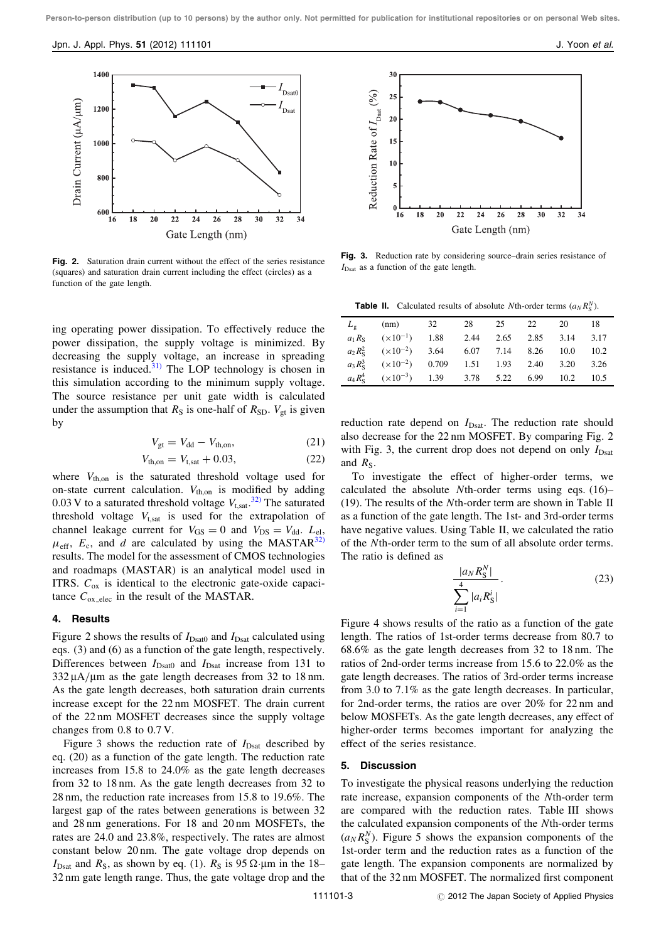

Fig. 2. Saturation drain current without the effect of the series resistance (squares) and saturation drain current including the effect (circles) as a function of the gate length.

ing operating power dissipation. To effectively reduce the power dissipation, the supply voltage is minimized. By decreasing the supply voltage, an increase in spreading resistance is induced. $31)$  The LOP technology is chosen in this simulation according to the minimum supply voltage. The source resistance per unit gate width is calculated under the assumption that  $R<sub>S</sub>$  is one-half of  $R<sub>SD</sub>$ .  $V<sub>gt</sub>$  is given by

$$
V_{gt} = V_{dd} - V_{th,on},\tag{21}
$$

$$
V_{\text{th,on}} = V_{\text{t,sat}} + 0.03,\tag{22}
$$

where  $V_{th,on}$  is the saturated threshold voltage used for on-state current calculation.  $V_{th,on}$  is modified by adding 0.03 V to a saturated threshold voltage  $V_{t, sat}$ .<sup>[32\)](#page-5-0)</sup> The saturated threshold voltage  $V_{t, sat}$  is used for the extrapolation of channel leakage current for  $V_{GS} = 0$  and  $V_{DS} = V_{dd}$ .  $L_{el}$ ,  $\mu_{\text{eff}}$ ,  $E_c$ , and d are calculated by using the MASTAR<sup>[32\)](#page-5-0)</sup> results. The model for the assessment of CMOS technologies and roadmaps (MASTAR) is an analytical model used in ITRS.  $C_{ox}$  is identical to the electronic gate-oxide capacitance  $C_{\text{ox}_\text{elec}}$  in the result of the MASTAR.

#### 4. Results

Figure 2 shows the results of  $I_{\text{Dsat0}}$  and  $I_{\text{Dsat}}$  calculated using eqs. (3) and (6) as a function of the gate length, respectively. Differences between  $I_{\text{Dsat0}}$  and  $I_{\text{Dsat}}$  increase from 131 to  $332 \mu A/\mu m$  as the gate length decreases from 32 to 18 nm. As the gate length decreases, both saturation drain currents increase except for the 22 nm MOSFET. The drain current of the 22 nm MOSFET decreases since the supply voltage changes from 0.8 to 0.7 V.

Figure 3 shows the reduction rate of  $I_{\text{Dsat}}$  described by eq. (20) as a function of the gate length. The reduction rate increases from 15.8 to 24.0% as the gate length decreases from 32 to 18 nm. As the gate length decreases from 32 to 28 nm, the reduction rate increases from 15.8 to 19.6%. The largest gap of the rates between generations is between 32 and 28 nm generations. For 18 and 20 nm MOSFETs, the rates are 24.0 and 23.8%, respectively. The rates are almost constant below 20 nm. The gate voltage drop depends on  $I_{\text{Dsat}}$  and  $R_{\text{S}}$ , as shown by eq. (1).  $R_{\text{S}}$  is 95  $\Omega$  um in the 18– 32 nm gate length range. Thus, the gate voltage drop and the



Fig. 3. Reduction rate by considering source–drain series resistance of  $I_{\text{Dest}}$  as a function of the gate length.

**Table II.** Calculated results of absolute Nth-order terms  $(a_N R_S^N)$ .

| $L_{\sigma}$ | $(nm)$ 32                                                     | 28 | 25 22 | 20 | - 18 |
|--------------|---------------------------------------------------------------|----|-------|----|------|
|              | $a_1 R_s$ $(\times 10^{-1})$ 1.88 2.44 2.65 2.85 3.14 3.17    |    |       |    |      |
|              | $a_2 R_s^2$ $(\times 10^{-2})$ 3.64 6.07 7.14 8.26 10.0 10.2  |    |       |    |      |
|              | $a_3 R_s^3$ $(\times 10^{-2})$ 0.709 1.51 1.93 2.40 3.20 3.26 |    |       |    |      |
|              | $a_4 R_s^4$ $(\times 10^{-3})$ 1.39 3.78 5.22 6.99 10.2       |    |       |    | 10.5 |

reduction rate depend on  $I_{\text{Dsat}}$ . The reduction rate should also decrease for the 22 nm MOSFET. By comparing Fig. 2 with Fig. 3, the current drop does not depend on only  $I_{\text{Dsat}}$ and  $R<sub>S</sub>$ .

To investigate the effect of higher-order terms, we calculated the absolute Nth-order terms using eqs. (16)– (19). The results of the Nth-order term are shown in Table II as a function of the gate length. The 1st- and 3rd-order terms have negative values. Using Table II, we calculated the ratio of the Nth-order term to the sum of all absolute order terms. The ratio is defined as

$$
\frac{|a_N R_S^N|}{\sum_{i=1}^4 |a_i R_S^i|}.
$$
 (23)

Figure 4 shows results of the ratio as a function of the gate length. The ratios of 1st-order terms decrease from 80.7 to 68.6% as the gate length decreases from 32 to 18 nm. The ratios of 2nd-order terms increase from 15.6 to 22.0% as the gate length decreases. The ratios of 3rd-order terms increase from 3.0 to 7.1% as the gate length decreases. In particular, for 2nd-order terms, the ratios are over 20% for 22 nm and below MOSFETs. As the gate length decreases, any effect of higher-order terms becomes important for analyzing the effect of the series resistance.

## 5. Discussion

To investigate the physical reasons underlying the reduction rate increase, expansion components of the Nth-order term are compared with the reduction rates. Table III shows the calculated expansion components of the Nth-order terms  $(a_N R_S^N)$ . Figure 5 shows the expansion components of the 1st-order term and the reduction rates as a function of the gate length. The expansion components are normalized by that of the 32 nm MOSFET. The normalized first component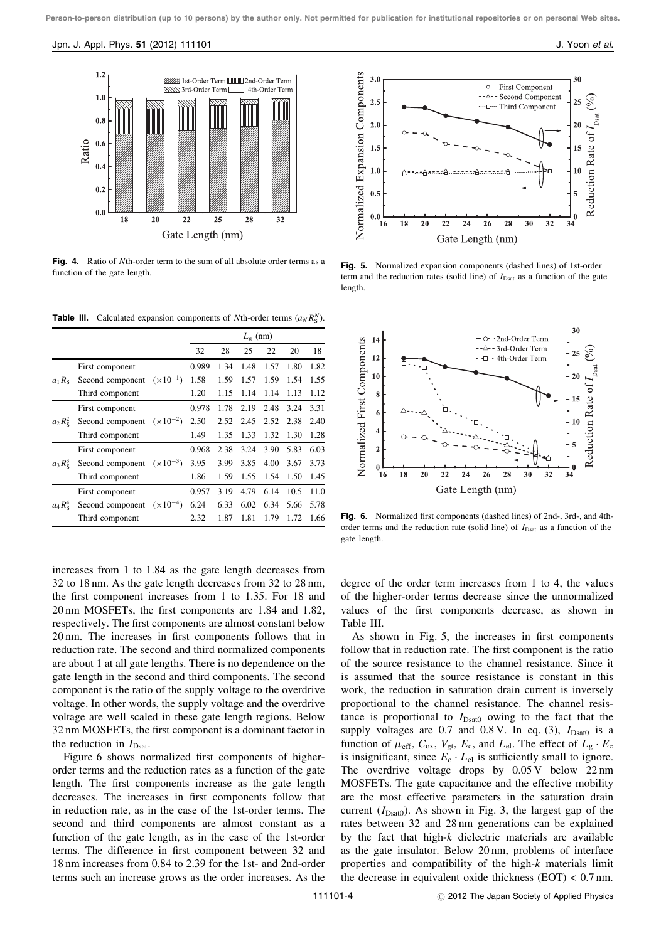

Fig. 4. Ratio of Nth-order term to the sum of all absolute order terms as a function of the gate length.

**Table III.** Calculated expansion components of Nth-order terms  $(a_N R_S^N)$ .

|                   |                  |                    |       | $L_{\varphi}$ (nm) |      |      |      |      |  |
|-------------------|------------------|--------------------|-------|--------------------|------|------|------|------|--|
|                   |                  |                    | 32    | 28                 | 25   | 22   | 20   | 18   |  |
|                   | First component  |                    | 0.989 | 1.34               | 1.48 | 1.57 | 1.80 | 1.82 |  |
| $a_1 R_S$         | Second component | $(x10^{-1})$       | 1.58  | 1.59               | 1.57 | 1.59 | 1.54 | 1.55 |  |
|                   | Third component  |                    | 1.20  | 1.15               | 1.14 | 1.14 | 1.13 | 1.12 |  |
|                   | First component  |                    | 0.978 | 1.78               | 2.19 | 2.48 | 3.24 | 3.31 |  |
| $a_2 R_s^2$       | Second component | $(x10^{-2})$       | 2.50  | 2.52               | 2.45 | 2.52 | 2.38 | 2.40 |  |
|                   | Third component  |                    | 1.49  | 1.35               | 1.33 | 1.32 | 1.30 | 1.28 |  |
| $a_3 R_{\rm s}^3$ | First component  |                    | 0.968 | 2.38               | 3.24 | 3.90 | 5.83 | 6.03 |  |
|                   | Second component | $(\times 10^{-3})$ | 3.95  | 3.99               | 3.85 | 4.00 | 3.67 | 3.73 |  |
|                   | Third component  |                    | 1.86  | 1.59               | 1.55 | 1.54 | 1.50 | 1.45 |  |
| $a_4 R_s^4$       | First component  |                    | 0.957 | 3.19               | 4.79 | 6.14 | 10.5 | 11.0 |  |
|                   | Second component | $(x10^{-4})$       | 6.24  | 6.33               | 6.02 | 6.34 | 5.66 | 5.78 |  |
|                   | Third component  |                    | 2.32  | 1.87               | 1.81 | 1.79 | 1.72 | 1.66 |  |

increases from 1 to 1.84 as the gate length decreases from 32 to 18 nm. As the gate length decreases from 32 to 28 nm, the first component increases from 1 to 1.35. For 18 and 20 nm MOSFETs, the first components are 1.84 and 1.82, respectively. The first components are almost constant below 20 nm. The increases in first components follows that in reduction rate. The second and third normalized components are about 1 at all gate lengths. There is no dependence on the gate length in the second and third components. The second component is the ratio of the supply voltage to the overdrive voltage. In other words, the supply voltage and the overdrive voltage are well scaled in these gate length regions. Below 32 nm MOSFETs, the first component is a dominant factor in the reduction in  $I_{\text{Dsat}}$ .

Figure 6 shows normalized first components of higherorder terms and the reduction rates as a function of the gate length. The first components increase as the gate length decreases. The increases in first components follow that in reduction rate, as in the case of the 1st-order terms. The second and third components are almost constant as a function of the gate length, as in the case of the 1st-order terms. The difference in first component between 32 and 18 nm increases from 0.84 to 2.39 for the 1st- and 2nd-order terms such an increase grows as the order increases. As the



Fig. 5. Normalized expansion components (dashed lines) of 1st-order term and the reduction rates (solid line) of  $I_{\text{Dsat}}$  as a function of the gate length.



Fig. 6. Normalized first components (dashed lines) of 2nd-, 3rd-, and 4thorder terms and the reduction rate (solid line) of  $I_{\text{Dsat}}$  as a function of the gate length.

degree of the order term increases from 1 to 4, the values of the higher-order terms decrease since the unnormalized values of the first components decrease, as shown in Table III.

As shown in Fig. 5, the increases in first components follow that in reduction rate. The first component is the ratio of the source resistance to the channel resistance. Since it is assumed that the source resistance is constant in this work, the reduction in saturation drain current is inversely proportional to the channel resistance. The channel resistance is proportional to  $I_{\text{Dsat0}}$  owing to the fact that the supply voltages are  $0.7$  and  $0.8$  V. In eq. (3),  $I_{\text{Dsat0}}$  is a function of  $\mu_{\text{eff}}$ ,  $C_{\text{ox}}$ ,  $V_{\text{gt}}$ ,  $E_{\text{c}}$ , and  $L_{\text{el}}$ . The effect of  $L_{\text{g}} \cdot E_{\text{c}}$ is insignificant, since  $E_c \cdot L_{el}$  is sufficiently small to ignore. The overdrive voltage drops by  $0.05 \text{ V}$  below 22 nm MOSFETs. The gate capacitance and the effective mobility are the most effective parameters in the saturation drain current  $(I_{\text{Dsat0}})$ . As shown in Fig. 3, the largest gap of the rates between 32 and 28 nm generations can be explained by the fact that high- $k$  dielectric materials are available as the gate insulator. Below 20 nm, problems of interface properties and compatibility of the high-k materials limit the decrease in equivalent oxide thickness  $(EOT) < 0.7$  nm.